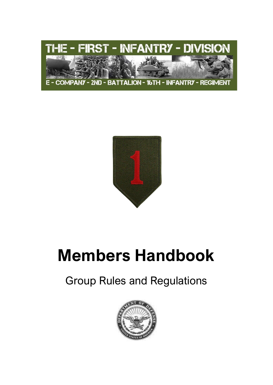



# **Members Handbook**

# Group Rules and Regulations

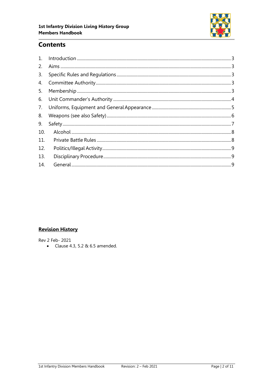

## **Contents**

| 1 <sub>1</sub> |  |
|----------------|--|
| 2.             |  |
| 3.             |  |
| 4.             |  |
| 5.             |  |
| 6.             |  |
| 7.             |  |
| 8.             |  |
| 9.             |  |
| 10.            |  |
| 11.            |  |
| 12.            |  |
| 13.            |  |
| 14.            |  |

### **Revision History**

Rev 2 Feb- 2021

• Clause 4.3, 5.2 & 6.5 amended.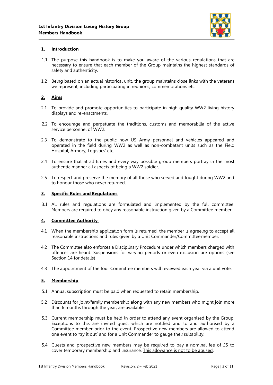

#### <span id="page-2-0"></span>**1. Introduction**

- 1.1 The purpose this handbook is to make you aware of the various regulations that are necessary to ensure that each member of the Group maintains the highest standards of safety and authenticity.
- 1.2 Being based on an actual historical unit, the group maintains close links with the veterans we represent, including participating in reunions, commemorations etc.

#### <span id="page-2-1"></span>**2. Aims**

- 2.1 To provide and promote opportunities to participate in high quality WW2 living history displays and re-enactments.
- 2.2 To encourage and perpetuate the traditions, customs and memorabilia of the active service personnel of WW2.
- 2.3 To demonstrate to the public how US Army personnel and vehicles appeared and operated in the field during WW2 as well as non-combatant units such as the Field Hospital, Armory, Logistics' etc.
- 2.4 To ensure that at all times and every way possible group members portray in the most authentic manner all aspects of being a WW2 soldier.
- 2.5 To respect and preserve the memory of all those who served and fought during WW2 and to honour those who never returned.

#### <span id="page-2-2"></span>**3. Specific Rules and Regulations**

3.1 All rules and regulations are formulated and implemented by the full committee. Members are required to obey any reasonable instruction given by a Committee member.

#### <span id="page-2-3"></span>**4. Committee Authority**

- 4.1 When the membership application form is returned, the member is agreeing to accept all reasonable instructions and rules given by a Unit Commander/Committee member.
- 4.2 The Committee also enforces a Disciplinary Procedure under which members charged with offences are heard. Suspensions for varying periods or even exclusion are options (see Section 14 for details)
- 4.3 The appointment of the four Committee members will reviewed each year via a unit vote.

#### <span id="page-2-4"></span>**5. Membership**

- 5.1 Annual subscription must be paid when requested to retain membership.
- 5.2 Discounts for joint/family membership along with any new members who might join more than 6 months through the year, are available.
- 5.3 Current membership must be held in order to attend any event organised by the Group. Exceptions to this are invited guest which are notified and to and authorised by a Committee member prior to the event. Prospective new members are allowed to attend one event to 'try it out' and for a Unit Commander to gauge their suitability.
- 5.4 Guests and prospective new members may be required to pay a nominal fee of £5 to cover temporary membership and insurance. This allowance is not to be abused.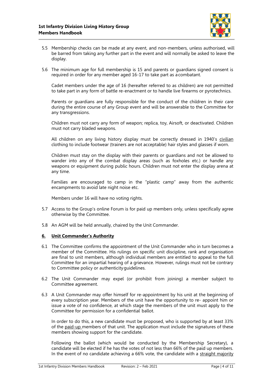

- 5.5 Membership checks can be made at any event, and non-members, unless authorised, will be barred from taking any further part in the event and will normally be asked to leave the display.
- 5.6 The minimum age for full membership is 15 and parents or guardians signed consent is required in order for any member aged 16-17 to take part as a combatant.

Cadet members under the age of 16 (hereafter referred to as children) are not permitted to take part in any form of battle re-enactment or to handle live firearms or pyrotechnics.

Parents or guardians are fully responsible for the conduct of the children in their care during the entire course of any Group event and will be answerable to the Committee for any transgressions.

Children must not carry any form of weapon; replica, toy, Airsoft, or deactivated. Children must not carry bladed weapons.

All children on any living history display must be correctly dressed in 1940's civilian clothing to include footwear (trainers are not acceptable) hair styles and glasses if worn.

Children must stay on the display with their parents or guardians and not be allowed to wander into any of the combat display areas (such as foxholes etc.) or handle any weapons or equipment during public hours. Children must not enter the display arena at any time.

Families are encouraged to camp in the "plastic camp" away from the authentic encampments to avoid late night noise etc.

Members under 16 will have no voting rights.

- 5.7 Access to the Group's online Forum is for paid up members only, unless specifically agree otherwise by the Committee.
- 5.8 An AGM will be held annually, chaired by the Unit Commander.

#### <span id="page-3-0"></span>**6. Unit Commander's Authority**

- 6.1 The Committee confirms the appointment of the Unit Commander who in turn becomes a member of the Committee. His rulings on specific unit discipline, rank and organisation are final to unit members, although individual members are entitled to appeal to the full Committee for an impartial hearing of a grievance. However, rulings must not be contrary to Committee policy or authenticityguidelines.
- 6.2 The Unit Commander may expel (or prohibit from joining) a member subject to Committee agreement.
- 6.3 A Unit Commander may offer himself for re-appointment by his unit at the beginning of every subscription year. Members of the unit have the opportunity to re- appoint him or issue a vote of no confidence, at which stage the members of the unit must apply to the Committee for permission for a confidential ballot.

In order to do this, a new candidate must be proposed, who is supported by at least 33% of the paid-up members of that unit. The application must include the signatures of these members showing support for the candidate.

Following the ballot (which would be conducted by the Membership Secretary), a candidate will be elected if he has the votes of not less than 66% of the paid up members. In the event of no candidate achieving a 66% vote, the candidate with a straight majority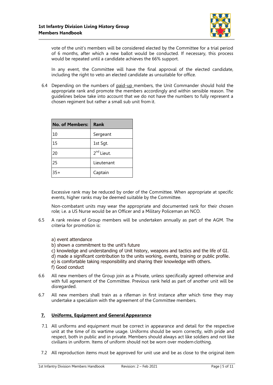

vote of the unit's members will be considered elected by the Committee for a trial period of 6 months, after which a new ballot would be conducted. If necessary, this process would be repeated until a candidate achieves the 66% support.

In any event, the Committee will have the final approval of the elected candidate, including the right to veto an elected candidate as unsuitable for office.

6.4 Depending on the numbers of paid-up members, the Unit Commander should hold the appropriate rank and promote the members accordingly and within sensible reason. The guidelines below take into account that we do not have the numbers to fully represent a chosen regiment but rather a small sub unit from it.

| No. of Members: | <b>Rank</b>            |
|-----------------|------------------------|
| 10              | Sergeant               |
| 15              | 1st Sgt.               |
| 20              | 2 <sup>nd</sup> Lieut. |
| 25              | Lieutenant             |
| $35+$           | Captain                |

Excessive rank may be reduced by order of the Committee. When appropriate at specific events, higher ranks may be deemed suitable by the Committee.

Non-combatant units may wear the appropriate and documented rank for their chosen role; i.e. a US Nurse would be an Officer and a Military Policeman an NCO.

6.5 A rank review of Group members will be undertaken annually as part of the AGM. The criteria for promotion is:

a) event attendance

- b) shown a commitment to the unit's future
- c) knowledge and understanding of Unit history, weapons and tactics and the life of GI.
- d) made a significant contribution to the units working, events, training or public profile.
- e) is comfortable taking responsibility and sharing their knowledge with others.

f) Good conduct

- 6.6 All new members of the Group join as a Private, unless specifically agreed otherwise and with full agreement of the Committee. Previous rank held as part of another unit will be disregarded.
- 6.7 All new members shall train as a rifleman in first instance after which time they may undertake a specialism with the agreement of the Committee members.

#### <span id="page-4-0"></span>**7. Uniforms, Equipment and General Appearance**

- 7.1 All uniforms and equipment must be correct in appearance and detail for the respective unit at the time of its wartime usage. Uniforms should be worn correctly, with pride and respect, both in public and in private. Members should always act like soldiers and not like civilians in uniform. Items of uniform should not be worn over modern clothing.
- 7.2 All reproduction items must be approved for unit use and be as close to the original item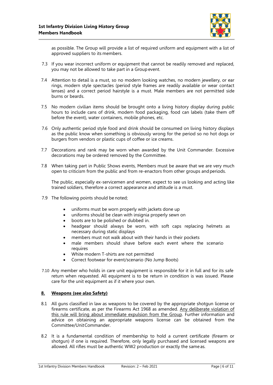

as possible. The Group will provide a list of required uniform and equipment with a list of approved suppliers to its members.

- 7.3 If you wear incorrect uniform or equipment that cannot be readily removed and replaced, you may not be allowed to take part in a Group event.
- 7.4 Attention to detail is a must, so no modern looking watches, no modern jewellery, or ear rings, modern style spectacles (period style frames are readily available or wear contact lenses) and a correct period hairstyle is a must. Male members are not permitted side burns or beards.
- 7.5 No modern civilian items should be brought onto a living history display during public hours to include cans of drink, modern food packaging, food can labels (take them off before the event), water containers, mobile phones, etc.
- 7.6 Only authentic period style food and drink should be consumed on living history displays as the public know when something is obviously wrong for the period so no hot dogs or burgers from vendors or plastic cups of coffee or ice creams.
- 7.7 Decorations and rank may be worn when awarded by the Unit Commander. Excessive decorations may be ordered removed by the Committee.
- 7.8 When taking part in Public Shows events, Members must be aware that we are very much open to criticism from the public and from re-enactors from other groups andperiods.

The public, especially ex-servicemen and women, expect to see us looking and acting like trained soldiers, therefore a correct appearance and attitude is a must.

- 7.9 The following points should be noted;
	- uniforms must be worn properly with jackets done up
	- uniforms should be clean with insignia properly sewn on
	- boots are to be polished or dubbed in.
	- headgear should always be worn, with soft caps replacing helmets as necessary during static displays
	- members must not walk about with their hands in their pockets
	- male members should shave before each event where the scenario requires
	- White modern T-shirts are not permitted
	- Correct footwear for event/scenario (No Jump Boots)
- 7.10 Any member who holds in care unit equipment is responsible for it in full and for its safe return when requested. All equipment is to be return in condition is was issued. Please care for the unit equipment as if it where your own.

#### <span id="page-5-0"></span>**8. Weapons (see also Safety)**

- 8.1 All guns classified in law as weapons to be covered by the appropriate shotgun license or firearms certificate, as per the Firearms Act 1968 as amended. Any deliberate violation of this rule will bring about immediate expulsion from the Group. Further information and advice on obtaining an appropriate weapons license can be obtained from the Committee/UnitCommander.
- 8.2 It is a fundamental condition of membership to hold a current certificate (firearm or shotgun) if one is required. Therefore, only legally purchased and licensed weapons are allowed. All rifles must be authentic WW2 production or exactly the same as.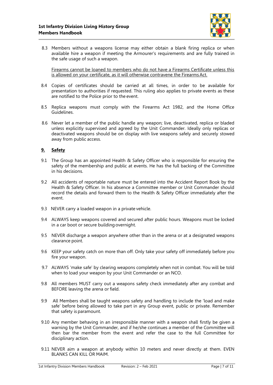

8.3 Members without a weapons license may either obtain a blank firing replica or when available hire a weapon if meeting the Armourer's requirements and are fully trained in the safe usage of such a weapon.

Firearms cannot be loaned to members who do not have a Firearms Certificate unless this is allowed on your certificate, as it will otherwise contravene the Firearms Act.

- 8.4 Copies of certificates should be carried at all times, in order to be available for presentation to authorities if requested. This ruling also applies to private events as these are notified to the Police prior to the event.
- 8.5 Replica weapons must comply with the Firearms Act 1982, and the Home Office Guidelines.
- 8.6 Never let a member of the public handle any weapon; live, deactivated, replica or bladed unless explicitly supervised and agreed by the Unit Commander. Ideally only replicas or deactivated weapons should be on display with live weapons safely and securely stowed away from public access.

#### <span id="page-6-0"></span>**9. Safety**

- 9.1 The Group has an appointed Health & Safety Officer who is responsible for ensuring the safety of the membership and public at events. He has the full backing of the Committee in his decisions.
- 9.2 All accidents of reportable nature must be entered into the Accident Report Book by the Health & Safety Officer. In his absence a Committee member or Unit Commander should record the details and forward them to the Health & Safety Officer immediately after the event.
- 9.3 NEVER carry a loaded weapon in a private vehicle.
- 9.4 ALWAYS keep weapons covered and secured after public hours. Weapons must be locked in a car boot or secure building overnight.
- 9.5 NEVER discharge a weapon anywhere other than in the arena or at a designated weapons clearance point.
- 9.6 KEEP your safety catch on more than off. Only take your safety off immediately before you fire your weapon.
- 9.7 ALWAYS 'make safe' by clearing weapons completely when not in combat. You will be told when to load your weapon by your Unit Commander or an NCO.
- 9.8 All members MUST carry out a weapons safety check immediately after any combat and BEFORE leaving the arena or field.
- 9.9 All Members shall be taught weapons safety and handling to include the 'load and make safe' before being allowed to take part in any Group event, public or private. Remember that safety is paramount.
- 9.10 Any member behaving in an irresponsible manner with a weapon shall firstly be given a warning by the Unit Commander, and if he/she continues a member of the Committee will then bar the member from the event and refer the case to the full Committee for disciplinary action.
- 9.11 NEVER aim a weapon at anybody within 10 meters and never directly at them. EVEN BLANKS CAN KILL OR MAIM.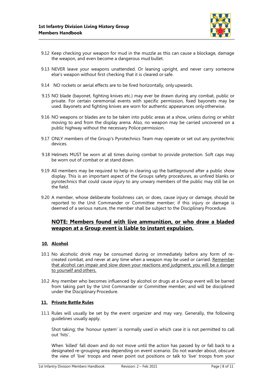

- 9.12 Keep checking your weapon for mud in the muzzle as this can cause a blockage, damage the weapon, and even become a dangerous mud bullet.
- 9.13 NEVER leave your weapons unattended. Or leaning upright, and never carry someone else's weapon without first checking that it is cleared or safe.
- 9.14 NO rockets or aerial effects are to be fired horizontally, only upwards.
- 9.15 NO blade (bayonet, fighting knives etc.) may ever be drawn during any combat, public or private. For certain ceremonial events with specific permission, fixed bayonets may be used. Bayonets and fighting knives are worn for authentic appearances onlyotherwise.
- 9.16 NO weapons or blades are to be taken into public areas at a show, unless during or whilst moving to and from the display arena. Also, no weapon may be carried uncovered on a public highway without the necessary Police permission.
- 9.17 ONLY members of the Group's Pyrotechnics Team may operate or set out any pyrotechnic devices.
- 9.18 Helmets MUST be worn at all times during combat to provide protection. Soft caps may be worn out of combat or at stand down.
- 9.19 All members may be required to help in clearing up the battleground after a public show display. This is an important aspect of the Groups safety procedures, as unfired blanks or pyrotechnics that could cause injury to any unwary members of the public may still be on the field.
- 9.20 A member, whose deliberate foolishness can, or does, cause injury or damage, should be reported to the Unit Commander or Committee member; if this injury or damage is deemed of a serious nature, the member shall be subject to the Disciplinary Procedure.

#### **NOTE: Members found with live ammunition, or who draw a bladed weapon at a Group event is liable to instant expulsion.**

#### <span id="page-7-0"></span>**10. Alcohol**

- 10.1 No alcoholic drink may be consumed during or immediately before any form of recreated combat, and never at any time when a weapon may be used or carried. Remember that alcohol can impair and slow down your reactions and judgment, you will be a danger to yourself and others.
- 10.2 Any member who becomes influenced by alcohol or drugs at a Group event will be barred from taking part by the Unit Commander or Committee member, and will be disciplined under the Disciplinary Procedure.

#### <span id="page-7-1"></span>**11. Private Battle Rules**

11.1 Rules will usually be set by the event organizer and may vary. Generally, the following guidelines usually apply.

Shot taking; the 'honour system' is normally used in which case it is not permitted to call out 'hits'.

When 'killed' fall down and do not move until the action has passed by or fall back to a designated re-grouping area depending on event scenario. Do not wander about, obscure the view of 'live' troops and never point out positions or talk to 'live' troops from your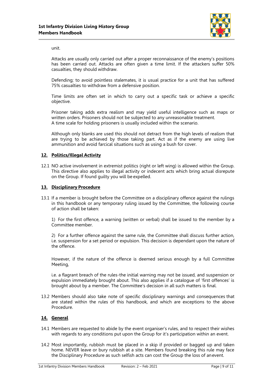

unit.

Attacks are usually only carried out after a proper reconnaissance of the enemy's positions has been carried out. Attacks are often given a time limit. If the attackers suffer 50% casualties, they should withdraw.

Defending; to avoid pointless stalemates, it is usual practice for a unit that has suffered 75% casualties to withdraw from a defensive position.

Time limits are often set in which to carry out a specific task or achieve a specific objective.

Prisoner taking adds extra realism and may yield useful intelligence such as maps or written orders. Prisoners should not be subjected to any unreasonable treatment. A time scale for holding prisoners is usually included within the scenario.

Although only blanks are used this should not detract from the high levels of realism that are trying to be achieved by those taking part. Act as if the enemy are using live ammunition and avoid farcical situations such as using a bush for cover.

#### <span id="page-8-0"></span>**12. Politics/Illegal Activity**

12.1 NO active involvement in extremist politics (right or left wing) is allowed within the Group. This directive also applies to illegal activity or indecent acts which bring actual disrepute on the Group. If found guilty you will be expelled.

#### <span id="page-8-1"></span>**13. Disciplinary Procedure**

13.1 If a member is brought before the Committee on a disciplinary offence against the rulings in this handbook or any temporary ruling issued by the Committee, the following course of action shall be taken:

1) For the first offence, a warning (written or verbal) shall be issued to the member by a Committee member.

2) For a further offence against the same rule, the Committee shall discuss further action, i.e. suspension for a set period or expulsion. This decision is dependant upon the nature of the offence.

However, if the nature of the offence is deemed serious enough by a full Committee Meeting,

i.e. a flagrant breach of the rules-the initial warning may not be issued, and suspension or expulsion immediately brought about. This also applies if a catalogue of 'first offences' is brought about by a member. The Committee's decision in all such matters is final.

13.2 Members should also take note of specific disciplinary warnings and consequences that are stated within the rules of this handbook, and which are exceptions to the above Procedure.

#### <span id="page-8-2"></span>**14. General**

- 14.1 Members are requested to abide by the event organiser's rules, and to respect their wishes with regards to any conditions put upon the Group for it's participation within an event.
- 14.2 Most importantly, rubbish must be placed in a skip if provided or bagged up and taken home. NEVER leave or bury rubbish at a site. Members found breaking this rule may face the Disciplinary Procedure as such selfish acts can cost the Group the loss of anevent.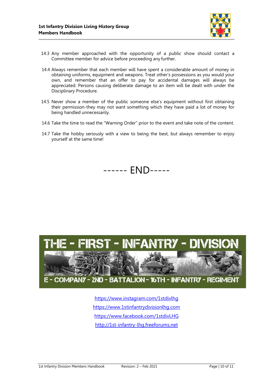

- 14.3 Any member approached with the opportunity of a public show should contact a Committee member for advice before proceeding any further.
- 14.4 Always remember that each member will have spent a considerable amount of money in obtaining uniforms, equipment and weapons. Treat other's possessions as you would your own, and remember that an offer to pay for accidental damages will always be appreciated. Persons causing deliberate damage to an item will be dealt with under the Disciplinary Procedure.
- 14.5 Never show a member of the public someone else's equipment without first obtaining their permission-they may not want something which they have paid a lot of money for being handled unnecessarily.
- 14.6 Take the time to read the "Warning Order" prior to the event and take note of the content.
- 14.7 Take the hobby seriously with a view to being the best, but always remember to enjoy yourself at the same time!

------ END-----



<https://www.instagram.com/1stdivlhg> [https://www.1stinfantrydivisionlhg.com](https://www.1stinfantrydivisionlhg.com/) [https://www.facebook.com/1stdivLHG](https://www.facebook.com/1stdivLHG/) [http://1st-infantry-lhg.freeforums.net](http://1st-infantry-lhg.freeforums.net/)